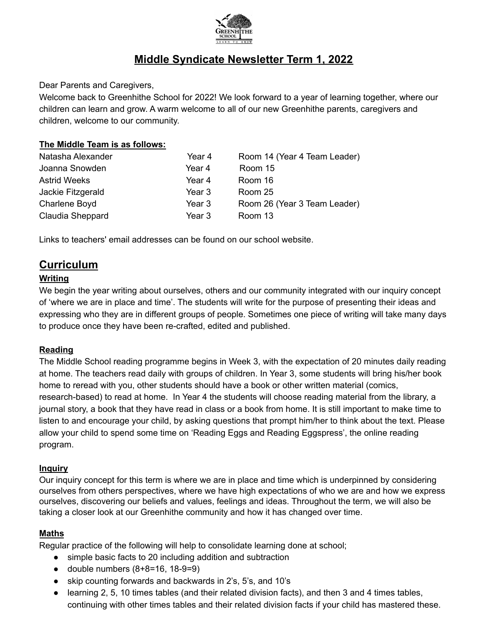

# **Middle Syndicate Newsletter Term 1, 2022**

Dear Parents and Caregivers,

Welcome back to Greenhithe School for 2022! We look forward to a year of learning together, where our children can learn and grow. A warm welcome to all of our new Greenhithe parents, caregivers and children, welcome to our community.

#### **The Middle Team is as follows:**

| Year 4 | Room 14 (Year 4 Team Leader) |
|--------|------------------------------|
| Year 4 | Room 15                      |
| Year 4 | Room 16                      |
| Year 3 | Room 25                      |
| Year 3 | Room 26 (Year 3 Team Leader) |
| Year 3 | Room 13                      |
|        |                              |

Links to teachers' email addresses can be found on our school website.

# **Curriculum**

#### **Writing**

We begin the year writing about ourselves, others and our community integrated with our inquiry concept of 'where we are in place and time'. The students will write for the purpose of presenting their ideas and expressing who they are in different groups of people. Sometimes one piece of writing will take many days to produce once they have been re-crafted, edited and published.

#### **Reading**

The Middle School reading programme begins in Week 3, with the expectation of 20 minutes daily reading at home. The teachers read daily with groups of children. In Year 3, some students will bring his/her book home to reread with you, other students should have a book or other written material (comics, research-based) to read at home. In Year 4 the students will choose reading material from the library, a journal story, a book that they have read in class or a book from home. It is still important to make time to listen to and encourage your child, by asking questions that prompt him/her to think about the text. Please allow your child to spend some time on 'Reading Eggs and Reading Eggspress', the online reading program.

#### **Inquiry**

Our inquiry concept for this term is where we are in place and time which is underpinned by considering ourselves from others perspectives, where we have high expectations of who we are and how we express ourselves, discovering our beliefs and values, feelings and ideas. Throughout the term, we will also be taking a closer look at our Greenhithe community and how it has changed over time.

#### **Maths**

Regular practice of the following will help to consolidate learning done at school;

- simple basic facts to 20 including addition and subtraction
- double numbers  $(8+8=16, 18-9=9)$
- skip counting forwards and backwards in 2's, 5's, and 10's
- learning 2, 5, 10 times tables (and their related division facts), and then 3 and 4 times tables, continuing with other times tables and their related division facts if your child has mastered these.